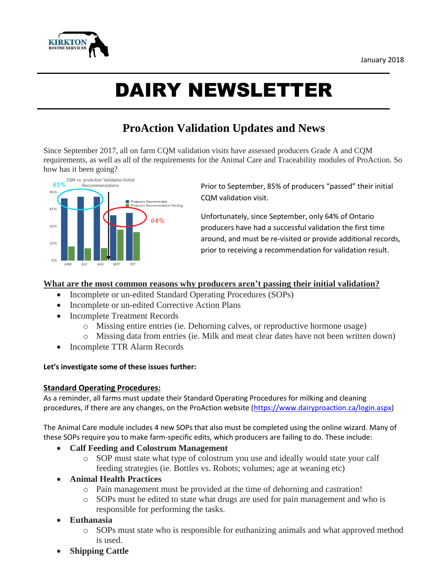

# DAIRY NEWSLETTER

# **ProAction Validation Updates and News**

Since September 2017, all on farm CQM validation visits have assessed producers Grade A and CQM requirements, as well as all of the requirements for the Animal Care and Traceability modules of ProAction. So how has it been going?



Prior to September, 85% of producers "passed" their initial CQM validation visit.

Unfortunately, since September, only 64% of Ontario producers have had a successful validation the first time around, and must be re-visited or provide additional records, prior to receiving a recommendation for validation result.

#### **What are the most common reasons why producers aren't passing their initial validation?**

- Incomplete or un-edited Standard Operating Procedures (SOPs)
- Incomplete or un-edited Corrective Action Plans
- Incomplete Treatment Records
	- o Missing entire entries (ie. Dehorning calves, or reproductive hormone usage)
	- o Missing data from entries (ie. Milk and meat clear dates have not been written down)
- Incomplete TTR Alarm Records

#### **Let's investigate some of these issues further:**

#### **Standard Operating Procedures:**

As a reminder, all farms must update their Standard Operating Procedures for milking and cleaning procedures, if there are any changes, on the ProAction website [\(https://www.dairyproaction.ca/login.aspx\)](https://www.dairyproaction.ca/login.aspx)

The Animal Care module includes 4 new SOPs that also must be completed using the online wizard. Many of these SOPs require you to make farm-specific edits, which producers are failing to do. These include:

- **Calf Feeding and Colostrum Management**
	- o SOP must state what type of colostrum you use and ideally would state your calf feeding strategies (ie. Bottles vs. Robots; volumes; age at weaning etc)
- **Animal Health Practices**
	- o Pain management must be provided at the time of dehorning and castration!
	- o SOPs must be edited to state what drugs are used for pain management and who is responsible for performing the tasks.
- **Euthanasia**
	- o SOPs must state who is responsible for euthanizing animals and what approved method is used.
- **Shipping Cattle**